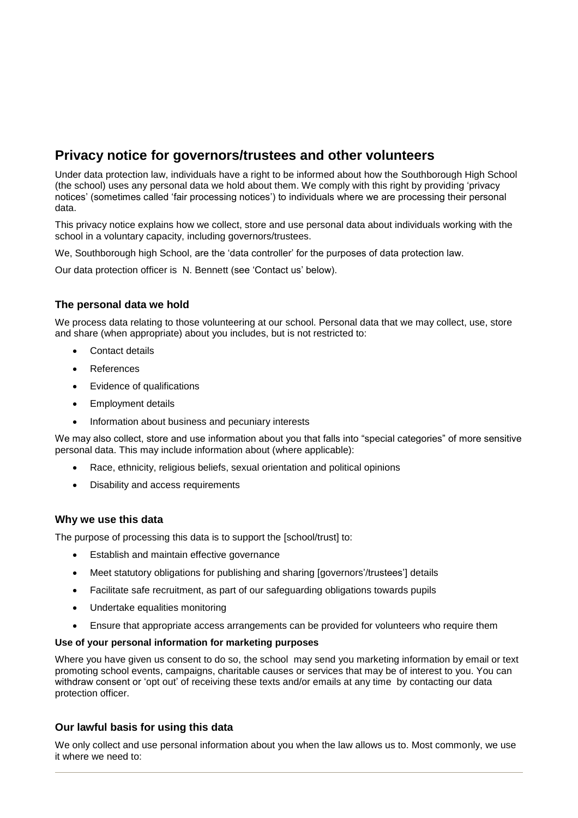# **Privacy notice for governors/trustees and other volunteers**

Under data protection law, individuals have a right to be informed about how the Southborough High School (the school) uses any personal data we hold about them. We comply with this right by providing 'privacy notices' (sometimes called 'fair processing notices') to individuals where we are processing their personal data.

This privacy notice explains how we collect, store and use personal data about individuals working with the school in a voluntary capacity, including governors/trustees.

We, Southborough high School, are the 'data controller' for the purposes of data protection law.

Our data protection officer is N. Bennett (see 'Contact us' below).

## **The personal data we hold**

We process data relating to those volunteering at our school. Personal data that we may collect, use, store and share (when appropriate) about you includes, but is not restricted to:

- Contact details
- References
- Evidence of qualifications
- Employment details
- Information about business and pecuniary interests

We may also collect, store and use information about you that falls into "special categories" of more sensitive personal data. This may include information about (where applicable):

- Race, ethnicity, religious beliefs, sexual orientation and political opinions
- Disability and access requirements

#### **Why we use this data**

The purpose of processing this data is to support the [school/trust] to:

- Establish and maintain effective governance
- Meet statutory obligations for publishing and sharing [governors'/trustees'] details
- Facilitate safe recruitment, as part of our safeguarding obligations towards pupils
- Undertake equalities monitoring
- Ensure that appropriate access arrangements can be provided for volunteers who require them

#### **Use of your personal information for marketing purposes**

Where you have given us consent to do so, the school may send you marketing information by email or text promoting school events, campaigns, charitable causes or services that may be of interest to you. You can withdraw consent or 'opt out' of receiving these texts and/or emails at any time by contacting our data protection officer.

## **Our lawful basis for using this data**

We only collect and use personal information about you when the law allows us to. Most commonly, we use it where we need to: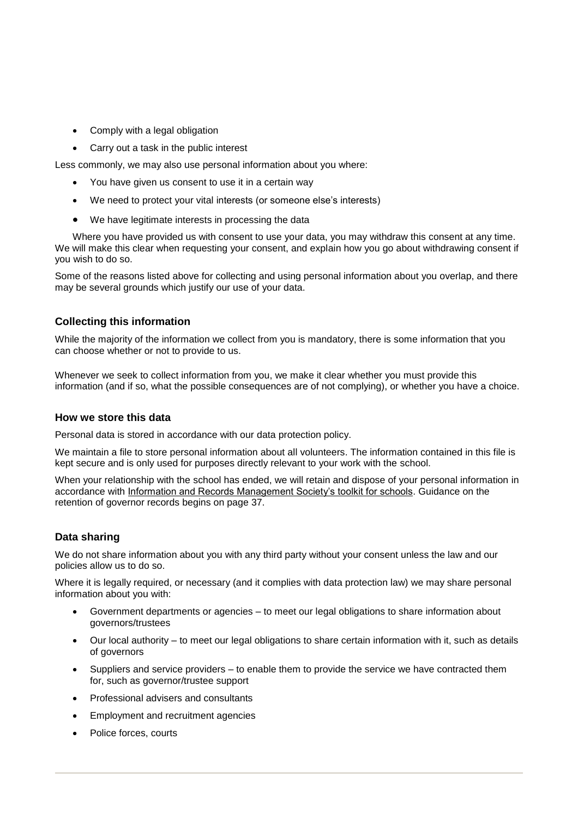- Comply with a legal obligation
- Carry out a task in the public interest

Less commonly, we may also use personal information about you where:

- You have given us consent to use it in a certain way
- We need to protect your vital interests (or someone else's interests)
- We have legitimate interests in processing the data

Where you have provided us with consent to use your data, you may withdraw this consent at any time. We will make this clear when requesting your consent, and explain how you go about withdrawing consent if you wish to do so.

Some of the reasons listed above for collecting and using personal information about you overlap, and there may be several grounds which justify our use of your data.

## **Collecting this information**

While the majority of the information we collect from you is mandatory, there is some information that you can choose whether or not to provide to us.

Whenever we seek to collect information from you, we make it clear whether you must provide this information (and if so, what the possible consequences are of not complying), or whether you have a choice.

#### **How we store this data**

Personal data is stored in accordance with our data protection policy.

We maintain a file to store personal information about all volunteers. The information contained in this file is kept secure and is only used for purposes directly relevant to your work with the school.

When your relationship with the school has ended, we will retain and dispose of your personal information in accordance with [Information and Records Management Society's toolkit for schools.](http://irms.org.uk/?page=schoolstoolkit&terms=%22toolkit+and+schools%22) Guidance on the retention of governor records begins on page 37.

## **Data sharing**

We do not share information about you with any third party without your consent unless the law and our policies allow us to do so.

Where it is legally required, or necessary (and it complies with data protection law) we may share personal information about you with:

- Government departments or agencies to meet our legal obligations to share information about governors/trustees
- Our local authority to meet our legal obligations to share certain information with it, such as details of governors
- Suppliers and service providers to enable them to provide the service we have contracted them for, such as governor/trustee support
- Professional advisers and consultants
- **Employment and recruitment agencies**
- Police forces, courts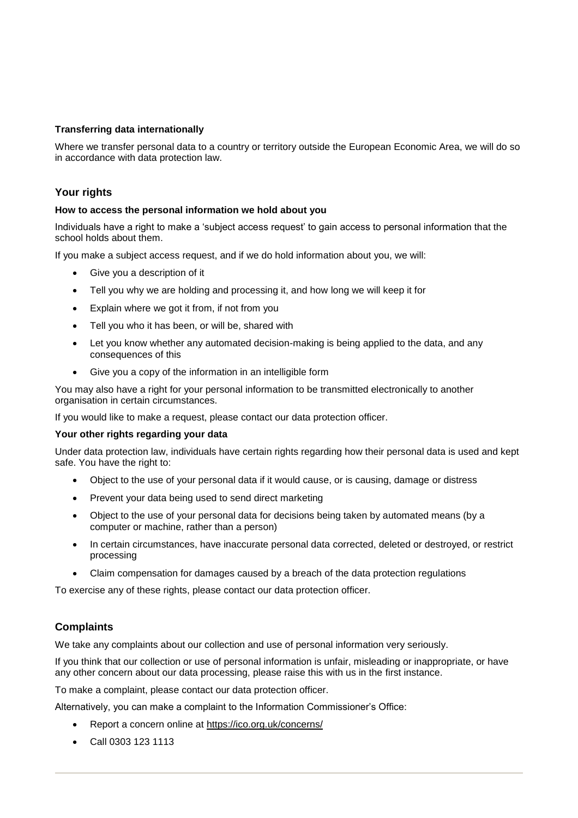### **Transferring data internationally**

Where we transfer personal data to a country or territory outside the European Economic Area, we will do so in accordance with data protection law.

## **Your rights**

#### **How to access the personal information we hold about you**

Individuals have a right to make a 'subject access request' to gain access to personal information that the school holds about them.

If you make a subject access request, and if we do hold information about you, we will:

- Give you a description of it
- Tell you why we are holding and processing it, and how long we will keep it for
- Explain where we got it from, if not from you
- Tell you who it has been, or will be, shared with
- Let you know whether any automated decision-making is being applied to the data, and any consequences of this
- Give you a copy of the information in an intelligible form

You may also have a right for your personal information to be transmitted electronically to another organisation in certain circumstances.

If you would like to make a request, please contact our data protection officer.

#### **Your other rights regarding your data**

Under data protection law, individuals have certain rights regarding how their personal data is used and kept safe. You have the right to:

- Object to the use of your personal data if it would cause, or is causing, damage or distress
- Prevent your data being used to send direct marketing
- Object to the use of your personal data for decisions being taken by automated means (by a computer or machine, rather than a person)
- In certain circumstances, have inaccurate personal data corrected, deleted or destroyed, or restrict processing
- Claim compensation for damages caused by a breach of the data protection regulations

To exercise any of these rights, please contact our data protection officer.

#### **Complaints**

We take any complaints about our collection and use of personal information very seriously.

If you think that our collection or use of personal information is unfair, misleading or inappropriate, or have any other concern about our data processing, please raise this with us in the first instance.

To make a complaint, please contact our data protection officer.

Alternatively, you can make a complaint to the Information Commissioner's Office:

- Report a concern online at<https://ico.org.uk/concerns/>
- Call 0303 123 1113